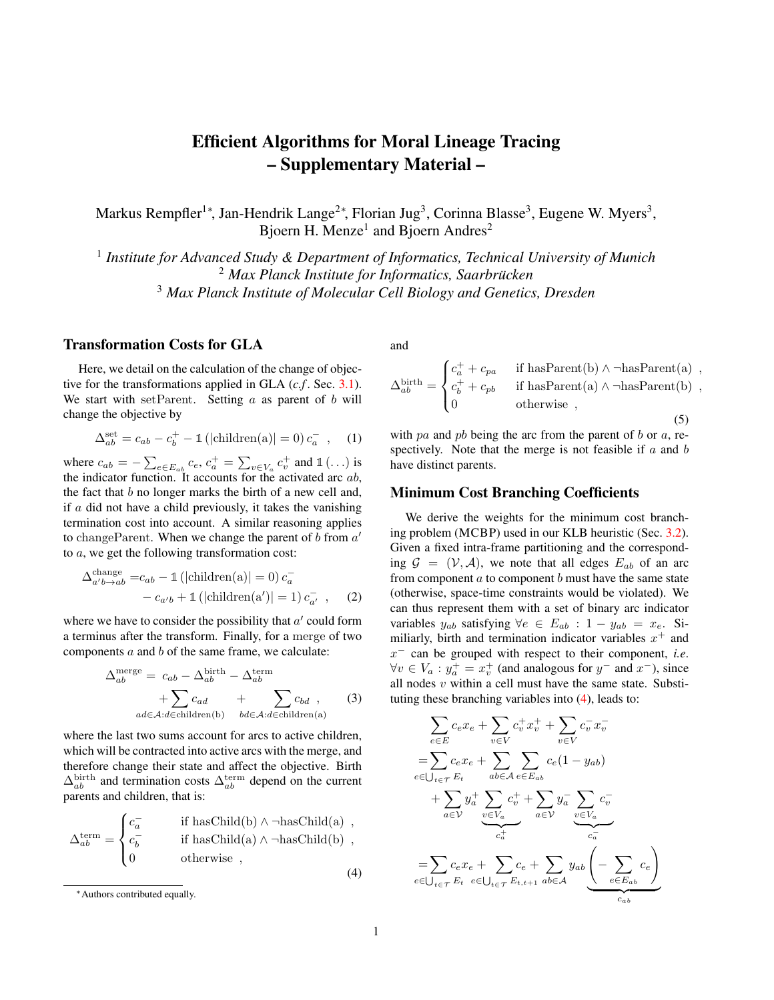# Efficient Algorithms for Moral Lineage Tracing – Supplementary Material –

<span id="page-0-0"></span>Markus Rempfler<sup>1∗</sup>, Jan-Hendrik Lange<sup>2∗</sup>, Florian Jug<sup>3</sup>, Corinna Blasse<sup>3</sup>, Eugene W. Myers<sup>3</sup>, Bjoern H. Menze<sup>1</sup> and Bjoern Andres<sup>2</sup>

1 *Institute for Advanced Study & Department of Informatics, Technical University of Munich* <sup>2</sup> *Max Planck Institute for Informatics, Saarbrucken ¨* <sup>3</sup> *Max Planck Institute of Molecular Cell Biology and Genetics, Dresden*

# Transformation Costs for GLA

Here, we detail on the calculation of the change of objective for the transformations applied in GLA (*c.f.* Sec. 3.1). We start with set Parent. Setting a as parent of b will change the objective by

$$
\Delta_{ab}^{\text{set}} = c_{ab} - c_b^+ - \mathbb{1} \left( |\text{children}(a)| = 0 \right) c_a^- \quad , \quad (1)
$$

where  $c_{ab} = -\sum_{e \in E_{ab}} c_e$ ,  $c_a^+ = \sum_{v \in V_a} c_v^+$  and  $\mathbb{1} (\dots)$  is the indicator function. It accounts for the activated arc  $ab$ , the fact that  $b$  no longer marks the birth of a new cell and, if  $\alpha$  did not have a child previously, it takes the vanishing termination cost into account. A similar reasoning applies to changeParent. When we change the parent of  $b$  from  $a'$ to a, we get the following transformation cost:

$$
\Delta_{a'b \to ab}^{\text{change}} = c_{ab} - \mathbb{1} \left( |\text{children}(a)| = 0 \right) c_a^- - c_{a'b} + \mathbb{1} \left( |\text{children}(a')| = 1 \right) c_{a'}^- , \quad (2)
$$

where we have to consider the possibility that  $a'$  could form a terminus after the transform. Finally, for a merge of two components  $a$  and  $b$  of the same frame, we calculate:

$$
\Delta_{ab}^{\text{merge}} = c_{ab} - \Delta_{ab}^{\text{birth}} - \Delta_{ab}^{\text{term}} + \sum_{ad \in \mathcal{A}: d \in \text{children}(b)} c_{bd} , \qquad (3)
$$
\n
$$
_{ad \in \mathcal{A}: d \in \text{children}(b)} b_{ad \in \mathcal{A}: d \in \text{children}(a)}
$$

where the last two sums account for arcs to active children, which will be contracted into active arcs with the merge, and therefore change their state and affect the objective. Birth  $\Delta_{ab}^{\text{birth}}$  and termination costs  $\Delta_{ab}^{\text{term}}$  depend on the current parents and children, that is:

$$
\Delta_{ab}^{\text{term}} = \begin{cases} c_a^- & \text{if hasChild(b) } \wedge \neg \text{hasChild(a) } \, , \\ c_b^- & \text{if hasChild(a) } \wedge \neg \text{hasChild(b) } \, , \\ 0 & \text{otherwise } \, , \end{cases}
$$

and

$$
\Delta_{ab}^{\text{birth}} = \begin{cases}\nc_a^+ + c_{pa} & \text{if hasParent(b)} \land \neg \text{hasParent(a)} , \\
c_b^+ + c_{pb} & \text{if hasParent(a)} \land \neg \text{hasParent(b)} , \\
0 & \text{otherwise} ,\n\end{cases}
$$
\n
$$
(5)
$$

with  $pa$  and  $pb$  being the arc from the parent of  $b$  or  $a$ , respectively. Note that the merge is not feasible if  $a$  and  $b$ have distinct parents.

# Minimum Cost Branching Coefficients

We derive the weights for the minimum cost branching problem (MCBP) used in our KLB heuristic (Sec. 3.2). Given a fixed intra-frame partitioning and the corresponding  $G = (\mathcal{V}, \mathcal{A})$ , we note that all edges  $E_{ab}$  of an arc from component  $a$  to component  $b$  must have the same state (otherwise, space-time constraints would be violated). We can thus represent them with a set of binary arc indicator variables  $y_{ab}$  satisfying  $\forall e \in E_{ab} : 1 - y_{ab} = x_e$ . Similiarly, birth and termination indicator variables  $x^+$  and x <sup>−</sup> can be grouped with respect to their component, *i.e*.  $\forall v \in V_a : y_a^+ = x_v^+$  (and analogous for  $y^-$  and  $x^-$ ), since all nodes  $v$  within a cell must have the same state. Substituting these branching variables into (4), leads to:

$$
\sum_{e \in E} c_e x_e + \sum_{v \in V} c_v^+ x_v^+ + \sum_{v \in V} c_v^- x_v^-
$$
\n
$$
= \sum_{e \in \bigcup_{t \in \mathcal{T}} E_t} c_e x_e + \sum_{ab \in \mathcal{A}} \sum_{e \in E_{ab}} c_e (1 - y_{ab})
$$
\n
$$
+ \sum_{a \in \mathcal{V}} y_a^+ \sum_{v \in V_a} c_v^+ + \sum_{a \in \mathcal{V}} y_a^- \sum_{v \in V_a} c_v^-
$$
\n
$$
= \sum_{e \in \bigcup_{t \in \mathcal{T}} E_t} c_e x_e + \sum_{e \in \bigcup_{t \in \mathcal{T}} E_{t, t+1}} c_e + \sum_{ab \in \mathcal{A}} y_{ab} \underbrace{\left(-\sum_{e \in E_{ab}} c_e\right)}_{c_{ab}}
$$

<sup>(4)</sup>

<sup>∗</sup>Authors contributed equally.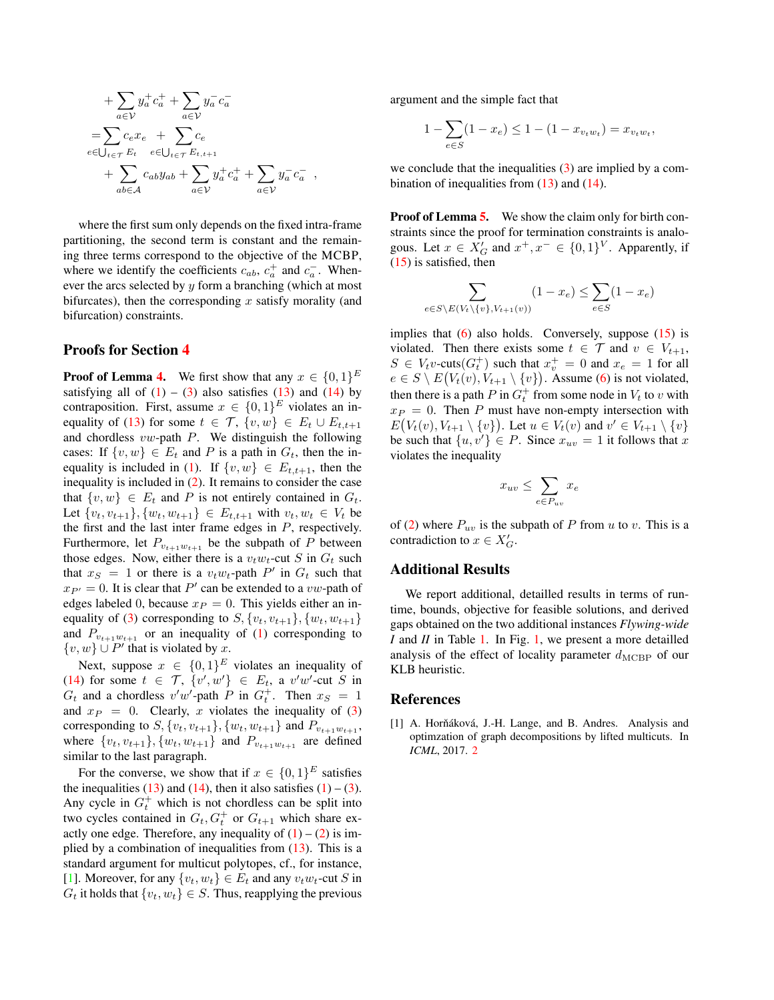<span id="page-1-1"></span>
$$
+\sum_{a\in\mathcal{V}} y_a^+ c_a^+ + \sum_{a\in\mathcal{V}} y_a^- c_a^-
$$
  
=
$$
\sum_{e\in\bigcup_{t\in\mathcal{T}} E_t} c_e x_e + \sum_{e\in\bigcup_{t\in\mathcal{T}} E_{t,t+1}} c_e
$$
  
+
$$
\sum_{ab\in\mathcal{A}} c_{ab} y_{ab} + \sum_{a\in\mathcal{V}} y_a^+ c_a^+ + \sum_{a\in\mathcal{V}} y_a^- c_a^- ,
$$

where the first sum only depends on the fixed intra-frame partitioning, the second term is constant and the remaining three terms correspond to the objective of the MCBP, where we identify the coefficients  $c_{ab}$ ,  $c_a^+$  and  $c_a^-$ . Whenever the arcs selected by  $y$  form a branching (which at most bifurcates), then the corresponding  $x$  satisfy morality (and bifurcation) constraints.

## Proofs for Section [4](#page-0-0)

**Proof of Lemma [4.](#page-0-0)** We first show that any  $x \in \{0,1\}^E$ satisfying all of  $(1) - (3)$  $(1) - (3)$  $(1) - (3)$  also satisfies  $(13)$  and  $(14)$  by contraposition. First, assume  $x \in \{0,1\}^E$  violates an in-equality of [\(13\)](#page-0-0) for some  $t \in \mathcal{T}$ ,  $\{v, w\} \in E_t \cup E_{t,t+1}$ and chordless  $vw$ -path  $P$ . We distinguish the following cases: If  $\{v, w\} \in E_t$  and P is a path in  $G_t$ , then the in-equality is included in [\(1\)](#page-0-0). If  $\{v, w\} \in E_{t,t+1}$ , then the inequality is included in  $(2)$ . It remains to consider the case that  $\{v, w\} \in E_t$  and P is not entirely contained in  $G_t$ . Let  $\{v_t, v_{t+1}\}, \{w_t, w_{t+1}\} \in E_{t,t+1}$  with  $v_t, w_t \in V_t$  be the first and the last inter frame edges in  $P$ , respectively. Furthermore, let  $P_{v_{t+1}w_{t+1}}$  be the subpath of P between those edges. Now, either there is a  $v_t w_t$ -cut S in  $G_t$  such that  $x_S = 1$  or there is a  $v_t w_t$ -path P' in  $G_t$  such that  $x_{P'} = 0$ . It is clear that P' can be extended to a vw-path of edges labeled 0, because  $x_P = 0$ . This yields either an in-equality of [\(3\)](#page-0-0) corresponding to  $S, \{v_t, v_{t+1}\}, \{w_t, w_{t+1}\}\$ and  $P_{v_{t+1}w_{t+1}}$  or an inequality of [\(1\)](#page-0-0) corresponding to  $\{v, w\} \cup P'$  that is violated by x.

Next, suppose  $x \in \{0,1\}^E$  violates an inequality of [\(14\)](#page-0-0) for some  $t \in \mathcal{T}$ ,  $\{v', w'\} \in E_t$ , a v'w'-cut S in  $G_t$  and a chordless v'w'-path P in  $G_t^+$ . Then  $x_S = 1$ and  $x_P = 0$ . Clearly, x violates the inequality of [\(3\)](#page-0-0) corresponding to  $S, \{v_t, v_{t+1}\}, \{w_t, w_{t+1}\}\$  and  $P_{v_{t+1}w_{t+1}}$ , where  $\{v_t, v_{t+1}\}, \{w_t, w_{t+1}\}$  and  $P_{v_{t+1}w_{t+1}}$  are defined similar to the last paragraph.

For the converse, we show that if  $x \in \{0,1\}^E$  satisfies the inequalities [\(13\)](#page-0-0) and [\(14\)](#page-0-0), then it also satisfies  $(1) - (3)$  $(1) - (3)$  $(1) - (3)$ . Any cycle in  $G_t^+$  which is not chordless can be split into two cycles contained in  $G_t, G_t^+$  or  $G_{t+1}$  which share exactly one edge. Therefore, any inequality of  $(1) - (2)$  $(1) - (2)$  $(1) - (2)$  is implied by a combination of inequalities from  $(13)$ . This is a standard argument for multicut polytopes, cf., for instance, [\[1\]](#page-1-0). Moreover, for any  $\{v_t, w_t\} \in E_t$  and any  $v_t w_t$ -cut S in  $G_t$  it holds that  $\{v_t, w_t\} \in S$ . Thus, reapplying the previous

argument and the simple fact that

$$
1 - \sum_{e \in S} (1 - x_e) \le 1 - (1 - x_{v_t w_t}) = x_{v_t w_t},
$$

we conclude that the inequalities  $(3)$  are implied by a combination of inequalities from  $(13)$  and  $(14)$ .

**Proof of Lemma [5.](#page-0-0)** We show the claim only for birth constraints since the proof for termination constraints is analogous. Let  $x \in X'_G$  and  $x^+, x^- \in \{0, 1\}^V$ . Apparently, if  $(15)$  is satisfied, then

$$
\sum_{e \in S \setminus E(V_t \setminus \{v\}, V_{t+1}(v))} (1 - x_e) \le \sum_{e \in S} (1 - x_e)
$$

implies that  $(6)$  also holds. Conversely, suppose  $(15)$  is violated. Then there exists some  $t \in \mathcal{T}$  and  $v \in V_{t+1}$ ,  $S \in V_t v$ -cuts $(G_t^+)$  such that  $x_v^+ = 0$  and  $x_e = 1$  for all  $e \in S \setminus E(V_t(v), V_{t+1} \setminus \{v\})$ . Assume [\(6\)](#page-0-0) is not violated, then there is a path P in  $G_t^+$  from some node in  $V_t$  to v with  $x_P = 0$ . Then P must have non-empty intersection with  $E(V_t(v), V_{t+1} \setminus \{v\})$ . Let  $u \in V_t(v)$  and  $v' \in V_{t+1} \setminus \{v\}$ be such that  $\{u, v'\} \in P$ . Since  $x_{uv} = 1$  it follows that x violates the inequality

$$
x_{uv} \le \sum_{e \in P_{uv}} x_e
$$

of [\(2\)](#page-0-0) where  $P_{uv}$  is the subpath of P from u to v. This is a contradiction to  $x \in X'_G$ .

## Additional Results

We report additional, detailled results in terms of runtime, bounds, objective for feasible solutions, and derived gaps obtained on the two additional instances *Flywing-wide I* and *II* in Table [1.](#page-2-0) In Fig. [1,](#page-2-1) we present a more detailled analysis of the effect of locality parameter  $d_{\text{MCBP}}$  of our KLB heuristic.

# References

<span id="page-1-0"></span>[1] A. Horňáková, J.-H. Lange, and B. Andres. Analysis and optimzation of graph decompositions by lifted multicuts. In *ICML*, 2017. [2](#page-1-1)